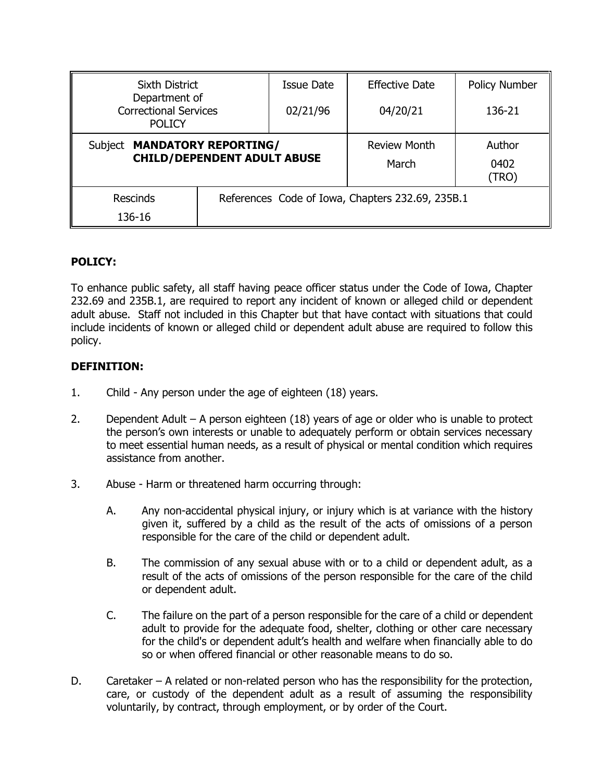| <b>Sixth District</b><br>Department of<br><b>Correctional Services</b><br><b>POLICY</b> |                                                  | <b>Issue Date</b> | <b>Effective Date</b>        | Policy Number           |
|-----------------------------------------------------------------------------------------|--------------------------------------------------|-------------------|------------------------------|-------------------------|
|                                                                                         |                                                  | 02/21/96          | 04/20/21                     | 136-21                  |
| Subject MANDATORY REPORTING/<br><b>CHILD/DEPENDENT ADULT ABUSE</b>                      |                                                  |                   | <b>Review Month</b><br>March | Author<br>0402<br>(TRO) |
| Rescinds<br>136-16                                                                      | References Code of Iowa, Chapters 232.69, 235B.1 |                   |                              |                         |

## **POLICY:**

To enhance public safety, all staff having peace officer status under the Code of Iowa, Chapter 232.69 and 235B.1, are required to report any incident of known or alleged child or dependent adult abuse. Staff not included in this Chapter but that have contact with situations that could include incidents of known or alleged child or dependent adult abuse are required to follow this policy.

## **DEFINITION:**

- 1. Child Any person under the age of eighteen (18) years.
- 2. Dependent Adult A person eighteen (18) years of age or older who is unable to protect the person's own interests or unable to adequately perform or obtain services necessary to meet essential human needs, as a result of physical or mental condition which requires assistance from another.
- 3. Abuse Harm or threatened harm occurring through:
	- A. Any non-accidental physical injury, or injury which is at variance with the history given it, suffered by a child as the result of the acts of omissions of a person responsible for the care of the child or dependent adult.
	- B. The commission of any sexual abuse with or to a child or dependent adult, as a result of the acts of omissions of the person responsible for the care of the child or dependent adult.
	- C. The failure on the part of a person responsible for the care of a child or dependent adult to provide for the adequate food, shelter, clothing or other care necessary for the child's or dependent adult's health and welfare when financially able to do so or when offered financial or other reasonable means to do so.
- D. Caretaker A related or non-related person who has the responsibility for the protection, care, or custody of the dependent adult as a result of assuming the responsibility voluntarily, by contract, through employment, or by order of the Court.